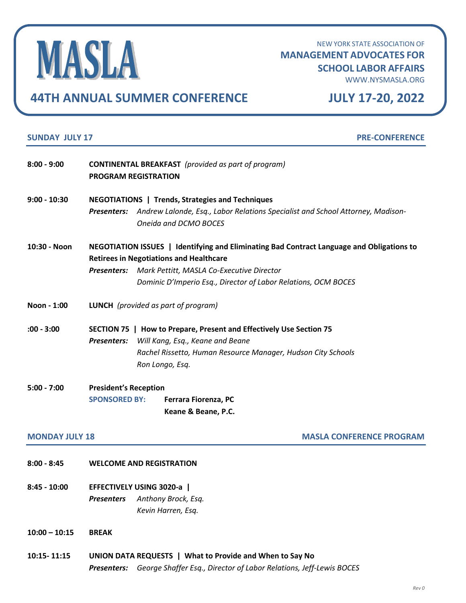MASLA

NEW YORK STATE ASSOCIATION OF **MANAGEMENT ADVOCATES FOR**

## **SCHOOL LABOR AFFAIRS**

[WWW.NYSMASLA.ORG](file:///C:/Users/mpettitt/Downloads/WWW.NYSMASLA.ORG)

## **44TH ANNUAL SUMMER CONFERENCE JULY 17-20, 2022**

| <b>SUNDAY JULY 17</b><br><b>PRE-CONFERENCE</b> |                                                                                                                                                                                                                                                                        |
|------------------------------------------------|------------------------------------------------------------------------------------------------------------------------------------------------------------------------------------------------------------------------------------------------------------------------|
| $8:00 - 9:00$                                  | <b>CONTINENTAL BREAKFAST</b> (provided as part of program)<br><b>PROGRAM REGISTRATION</b>                                                                                                                                                                              |
| $9:00 - 10:30$                                 | <b>NEGOTIATIONS   Trends, Strategies and Techniques</b><br>Andrew Lalonde, Esq., Labor Relations Specialist and School Attorney, Madison-<br><b>Presenters:</b><br>Oneida and DCMO BOCES                                                                               |
| 10:30 - Noon                                   | NEGOTIATION ISSUES   Identifying and Eliminating Bad Contract Language and Obligations to<br><b>Retirees in Negotiations and Healthcare</b><br>Presenters: Mark Pettitt, MASLA Co-Executive Director<br>Dominic D'Imperio Esq., Director of Labor Relations, OCM BOCES |
| Noon - 1:00                                    | <b>LUNCH</b> (provided as part of program)                                                                                                                                                                                                                             |
| $:00 - 3:00$                                   | SECTION 75   How to Prepare, Present and Effectively Use Section 75<br><b>Presenters:</b><br>Will Kang, Esq., Keane and Beane<br>Rachel Rissetto, Human Resource Manager, Hudson City Schools<br>Ron Longo, Esq.                                                       |
| $5:00 - 7:00$                                  | <b>President's Reception</b><br><b>SPONSORED BY:</b><br>Ferrara Fiorenza, PC<br>Keane & Beane, P.C.                                                                                                                                                                    |
| <b>MONDAY JULY 18</b>                          | <b>MASLA CONFERENCE PROGRAM</b>                                                                                                                                                                                                                                        |
| $8:00 - 8:45$                                  | <b>WELCOME AND REGISTRATION</b>                                                                                                                                                                                                                                        |
| $8:45 - 10:00$                                 | EFFECTIVELY USING 3020-a  <br><b>Presenters</b><br>Anthony Brock, Esq.<br>Kevin Harren, Esq.                                                                                                                                                                           |
| $10:00 - 10:15$                                | <b>BREAK</b>                                                                                                                                                                                                                                                           |
| 10:15-11:15                                    | UNION DATA REQUESTS   What to Provide and When to Say No                                                                                                                                                                                                               |

*Presenters: George Shaffer Esq., Director of Labor Relations, Jeff-Lewis BOCES*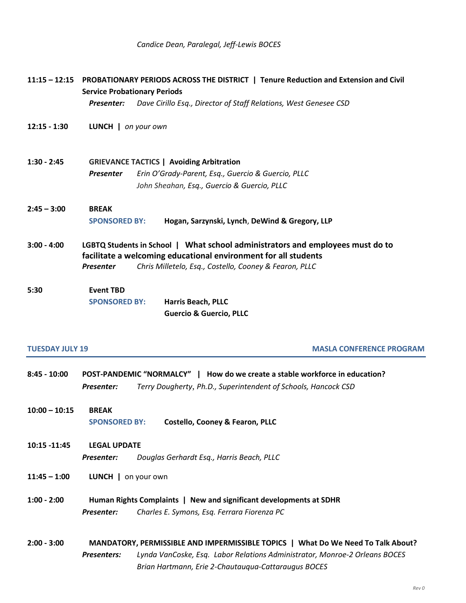|                        | 11:15 - 12:15 PROBATIONARY PERIODS ACROSS THE DISTRICT   Tenure Reduction and Extension and Civil<br><b>Service Probationary Periods</b><br>Dave Cirillo Esq., Director of Staff Relations, West Genesee CSD<br>Presenter:      |
|------------------------|---------------------------------------------------------------------------------------------------------------------------------------------------------------------------------------------------------------------------------|
| $12:15 - 1:30$         | LUNCH   on your own                                                                                                                                                                                                             |
| $1:30 - 2:45$          | <b>GRIEVANCE TACTICS   Avoiding Arbitration</b><br>Erin O'Grady-Parent, Esq., Guercio & Guercio, PLLC<br><b>Presenter</b><br>John Sheahan, Esq., Guercio & Guercio, PLLC                                                        |
| $2:45 - 3:00$          | <b>BREAK</b><br>Hogan, Sarzynski, Lynch, DeWind & Gregory, LLP<br><b>SPONSORED BY:</b>                                                                                                                                          |
| $3:00 - 4:00$          | LGBTQ Students in School   What school administrators and employees must do to<br>facilitate a welcoming educational environment for all students<br>Chris Milletelo, Esq., Costello, Cooney & Fearon, PLLC<br><b>Presenter</b> |
| 5:30                   | <b>Event TBD</b><br><b>Harris Beach, PLLC</b><br><b>SPONSORED BY:</b><br><b>Guercio &amp; Guercio, PLLC</b>                                                                                                                     |
| <b>TUESDAY JULY 19</b> | <b>MASLA CONFERENCE PROGRAM</b>                                                                                                                                                                                                 |

- **8:45 - 10:00 POST-PANDEMIC "NORMALCY" | How do we create a stable workforce in education?** *Presenter: Terry Dougherty*, *Ph.D., Superintendent of Schools, Hancock CSD*
- **10:00 – 10:15 BREAK SPONSORED BY: Costello, Cooney & Fearon, PLLC**
- **10:15 -11:45 LEGAL UPDATE**  *Presenter: Douglas Gerhardt Esq., Harris Beach, PLLC*
- **11:45 – 1:00 LUNCH |** on your own
- **1:00 - 2:00 Human Rights Complaints | New and significant developments at SDHR** *Presenter: Charles E. Symons, Esq. Ferrara Fiorenza PC*
- **2:00 - 3:00 MANDATORY, PERMISSIBLE AND IMPERMISSIBLE TOPICS | What Do We Need To Talk About?** *Presenters: Lynda VanCoske, Esq. Labor Relations Administrator, Monroe-2 Orleans BOCES Brian Hartmann, Erie 2-Chautauqua-Cattaraugus BOCES*